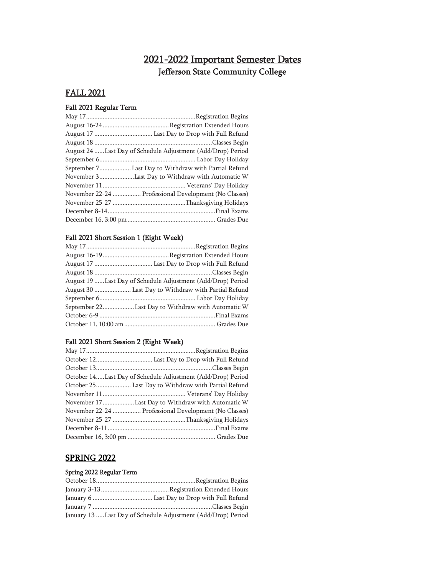## 2021-2022 Important Semester Dates Jefferson State Community College

## FALL 2021

## Fall 2021 Regular Term

| August 24 Last Day of Schedule Adjustment (Add/Drop) Period |
|-------------------------------------------------------------|
|                                                             |
| September 7 Last Day to Withdraw with Partial Refund        |
| November 3Last Day to Withdraw with Automatic W             |
|                                                             |
| November 22-24  Professional Development (No Classes)       |
|                                                             |
|                                                             |
|                                                             |
|                                                             |

## Fall 2021 Short Session 1 (Eight Week)

| August 19 Last Day of Schedule Adjustment (Add/Drop) Period |
|-------------------------------------------------------------|
| August 30  Last Day to Withdraw with Partial Refund         |
|                                                             |
| September 22Last Day to Withdraw with Automatic W           |
|                                                             |
|                                                             |
|                                                             |

#### Fall 2021 Short Session 2 (Eight Week)

| October 14Last Day of Schedule Adjustment (Add/Drop) Period |
|-------------------------------------------------------------|
| October 25 Last Day to Withdraw with Partial Refund         |
|                                                             |
| November 17Last Day to Withdraw with Automatic W            |
| November 22-24  Professional Development (No Classes)       |
|                                                             |
|                                                             |
|                                                             |

## SPRING 2022

#### Spring 2022 Regular Term

| January 13  Last Day of Schedule Adjustment (Add/Drop) Period |
|---------------------------------------------------------------|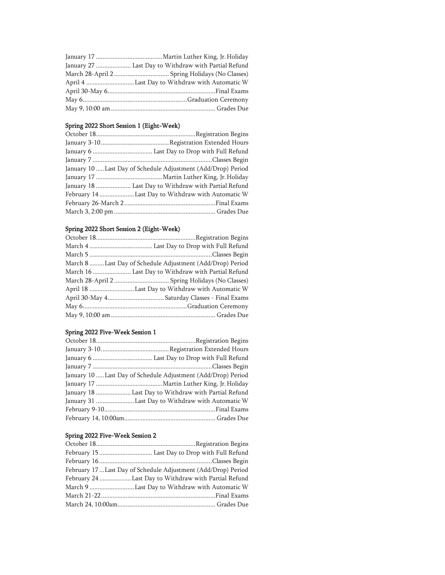| January 27  Last Day to Withdraw with Partial Refund |
|------------------------------------------------------|
|                                                      |
| April 4 Last Day to Withdraw with Automatic W        |
|                                                      |
|                                                      |
|                                                      |

#### Spring 2022 Short Session 1 (Eight-Week)

| January 10  Last Day of Schedule Adjustment (Add/Drop) Period |
|---------------------------------------------------------------|
|                                                               |
| January 18  Last Day to Withdraw with Partial Refund          |
| February 14 Last Day to Withdraw with Automatic W             |
|                                                               |
|                                                               |

## Spring 2022 Short Session 2 (Eight-Week)

| March 8 Last Day of Schedule Adjustment (Add/Drop) Period |
|-----------------------------------------------------------|
| March 16  Last Day to Withdraw with Partial Refund        |
|                                                           |
| April 18 Last Day to Withdraw with Automatic W            |
|                                                           |
|                                                           |
|                                                           |

#### Spring 2022 Five-Week Session 1

| January 10 Last Day of Schedule Adjustment (Add/Drop) Period |
|--------------------------------------------------------------|
|                                                              |
| January 18  Last Day to Withdraw with Partial Refund         |
| January 31 Last Day to Withdraw with Automatic W             |
|                                                              |
|                                                              |
|                                                              |

#### Spring 2022 Five-Week Session 2

| February 17  Last Day of Schedule Adjustment (Add/Drop) Period |
|----------------------------------------------------------------|
| February 24  Last Day to Withdraw with Partial Refund          |
| March 9 Last Day to Withdraw with Automatic W                  |
|                                                                |
|                                                                |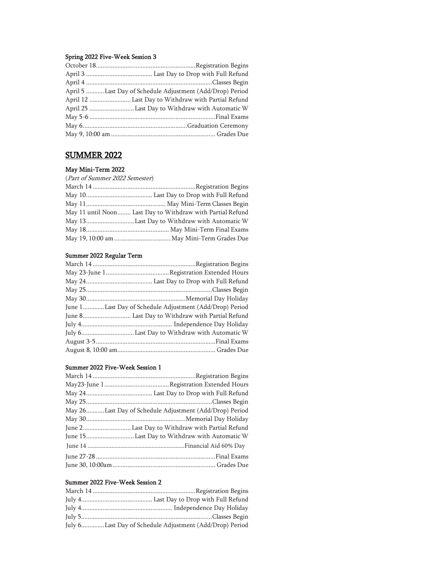#### Spring 2022 Five-Week Session 3

| April 5 Last Day of Schedule Adjustment (Add/Drop) Period |
|-----------------------------------------------------------|
| April 12  Last Day to Withdraw with Partial Refund        |
|                                                           |
|                                                           |
|                                                           |
|                                                           |

## SUMMER 2022

#### May Mini-Term 2022

| (Part of Summer 2022 Semester)                             |
|------------------------------------------------------------|
|                                                            |
|                                                            |
|                                                            |
| May 11 until Noon Last Day to Withdraw with Partial Refund |
|                                                            |
|                                                            |
|                                                            |
|                                                            |

#### Summer 2022 Regular Term

| June 1Last Day of Schedule Adjustment (Add/Drop) Period |
|---------------------------------------------------------|
| June 8 Last Day to Withdraw with Partial Refund         |
|                                                         |
|                                                         |
|                                                         |
|                                                         |

#### Summer 2022 Five-Week Session 1

| May 26Last Day of Schedule Adjustment (Add/Drop) Period |
|---------------------------------------------------------|
|                                                         |
|                                                         |
|                                                         |
|                                                         |
|                                                         |
|                                                         |
|                                                         |

#### Summer 2022 Five-Week Session 2

| July 6Last Day of Schedule Adjustment (Add/Drop) Period |
|---------------------------------------------------------|